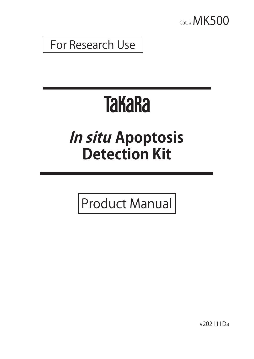

For Research Use

# **TakaRa**

## **In situ Apoptosis Detection Kit**

Product Manual

v202111Da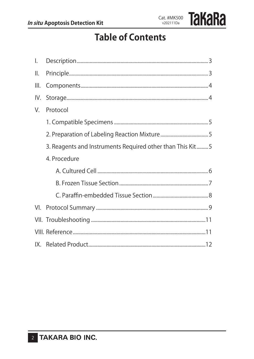### **Table of Contents**

| $\mathsf{L}$ |                                                            |
|--------------|------------------------------------------------------------|
| II.          |                                                            |
| III.         |                                                            |
| IV.          |                                                            |
| V.           | Protocol                                                   |
|              |                                                            |
|              |                                                            |
|              | 3. Reagents and Instruments Required other than This Kit 5 |
|              | 4. Procedure                                               |
|              |                                                            |
|              |                                                            |
|              |                                                            |
|              |                                                            |
|              |                                                            |
|              |                                                            |
|              |                                                            |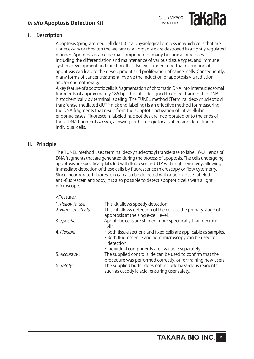**Takara** 

#### **I. Description**

Apoptosis (programmed cell death) is a physiological process in which cells that are unnecessary or threaten the welfare of an organism are destroyed in a tightly regulated manner. Apoptosis is an essential component of many biological processes, including the differentiation and maintenance of various tissue types, and immune system development and function. It is also well understood that disruption of apoptosis can lead to the development and proliferation of cancer cells. Consequently, many forms of cancer treatment involve the induction of apoptosis via radiation and/or chemotherapy.

A key feature of apoptotic cells is fragmentation of chromatin DNA into internucleosomal fragments of approximately 185 bp. This kit is designed to detect fragmented DNA histochemically by terminal labeling. The TUNEL method (Terminal deoxynucleotidyl transferase-mediated dUTP nick end labeling) is an effective method for measuring the DNA fragments that result from the apoptotic activation of intracellular endonucleases. Fluorescein-labeled nucleotides are incorporated onto the ends of these DNA fragments in situ, allowing for histologic localization and detection of individual cells.

#### **II. Principle**

The TUNEL method uses terminal deoxynucleotidyl transferase to label 3'-OH ends of DNA fragments that are generated during the process of apoptosis. The cells undergoing apoptosis are specifically labeled with fluorescein-dUTP with high sensitivity, allowing immediate detection of these cells by fluorescence microscopy or flow cytometry. Since incorporated fluorescein can also be detected with a peroxidase-labeled anti-fluorescein antibody, it is also possible to detect apoptotic cells with a light microscope.

#### <Feature>

| 1. Ready to use:     | This kit allows speedy detection.                                                                                                           |
|----------------------|---------------------------------------------------------------------------------------------------------------------------------------------|
| 2. High sensitivity: | This kit allows detection of the cells at the primary stage of<br>apoptosis at the single-cell level.                                       |
| 3. Specific :        | Apoptotic cells are stained more specifically than necrotic<br>cells.                                                                       |
| <i>4. Flexible</i> : | · Both tissue sections and fixed cells are applicable as samples.<br>· Both fluorescence and light microscopy can be used for<br>detection. |
|                      | · Individual components are available separately.                                                                                           |
| 5. Accuracy:         | The supplied control slide can be used to confirm that the<br>procedure was performed correctly, or for training new users.                 |
| 6. <i>Safety</i> :   | The supplied buffer does not include hazardous reagents<br>such as cacodylic acid, ensuring user safety.                                    |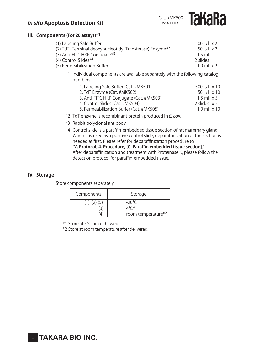**Takara** 

#### **III. Components (For 20 assays)\*1**

| (1) Labeling Safe Buffer                                             | 500 $\mu$   $\times$ 2 |
|----------------------------------------------------------------------|------------------------|
| (2) TdT (Terminal deoxynucleotidyl Transferase) Enzyme* <sup>2</sup> | 50 $\mu$ l x 2         |
| (3) Anti-FITC HRP Conjugate <sup>*3</sup>                            | $1.5$ ml               |
| (4) Control Slides*4                                                 | 2 slides               |
| (5) Permeabilization Buffer                                          | $1.0$ ml $\times$ 2    |
|                                                                      |                        |

\*1 Individual components are available separately with the following catalog numbers.

| 1. Labeling Safe Buffer (Cat. #MK501)    | 500 $\mu$ 1 x 10       |
|------------------------------------------|------------------------|
| 2. TdT Enzyme (Cat. #MK502)              | 50 $\mu$   $\times$ 10 |
| 3. Anti-FITC HRP Conjugate (Cat. #MK503) | $1.5$ ml $\times$ 5    |
| 4. Control Slides (Cat. #MK504)          | 2 slides $\times$ 5    |
| 5. Permeabilization Buffer (Cat. #MK505) | $1.0$ ml $\times$ 10   |

- \*2 TdT enzyme is recombinant protein produced in E. coli.
- \*3 Rabbit polyclonal antibody
- \*4 Control slide is a paraffin-embedded tissue section of rat mammary gland. When it is used as a positive control slide, deparaffinization of the section is needed at first. Please refer for deparaffinization procedure to "**V. Protocol, 4. Procedure, [C. Paraffin embedded tissue section]**." After deparaffinization and treatment with Proteinase K, please follow the

detection protocol for paraffin-embedded tissue.

#### **IV. Storage**

Store components separately

| Components    | Storage            |
|---------------|--------------------|
| (1), (2), (5) | -20°C              |
| 3             | ⊿°∩*ി              |
| 4             | room temperature*2 |

\*1 Store at 4℃ once thawed.

\*2 Store at room temperature after delivered.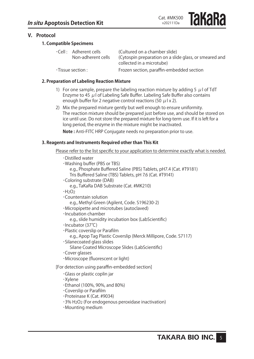#### **V. Protocol**

#### **1. Compatible Specimens**

|                          | $\cdot$ Cell : Adherent cells | (Cultured on a chamber slide)                          |
|--------------------------|-------------------------------|--------------------------------------------------------|
|                          | Non-adherent cells            | (Cytospin preparation on a slide glass, or smeared and |
|                          |                               | collected in a microtube)                              |
| $\cdot$ Tissue section : |                               | Frozen section, paraffin-embedded section              |

#### **2. Preparation of Labeling Reaction Mixture**

- 1) For one sample, prepare the labeling reaction mixture by adding 5  $\mu$  of TdT Enzyme to 45  $\mu$  I of Labeling Safe Buffer. Labeling Safe Buffer also contains enough buffer for 2 negative control reactions (50  $\mu$  l x 2).
- 2) Mix the prepared mixture gently but well enough to ensure uniformity. The reaction mixture should be prepared just before use, and should be stored on ice until use. Do not store the prepared mixture for long-term use. If it is left for a long period, the enzyme in the mixture might be inactivated. **Note :** Anti-FITC HRP Conjugate needs no preparation prior to use.

#### **3. Reagents and Instruments Required other than This Kit**

Please refer to the list specific to your application to determine exactly what is needed.

| $\cdot$ Distilled water<br>· Washing buffer (PBS or TBS)<br>e.g., Phosphate Buffered Saline (PBS) Tablets, pH7.4 (Cat. #T9181)<br>Tris Buffered Saline (TBS) Tablets, pH 7.6 (Cat. #T9141)<br>·Coloring substrate (DAB)<br>e.g., TaKaRa DAB Substrate (Cat. #MK210)<br>·H <sub>2</sub> O <sub>2</sub><br>$\cdot$ Counterstain solution<br>e.g., Methyl Green (Agilent, Code. S196230-2)<br>·Micropipette and microtubes (autoclaved)<br>$\cdot$ Incubation chamber<br>e.g., slide humidity incubation box (LabScientific)<br>$\cdot$ Incubator (37°C)<br>·Plastic coverslip or Parafilm<br>e.g., Apop Tag Plastic Coverslip (Merck Millipore, Code. S7117)<br>·Silanecoated glass slides<br>Silane Coated Microscope Slides (LabScientific)<br>Cover glasses<br>·Microscope (fluorescent or light) |
|----------------------------------------------------------------------------------------------------------------------------------------------------------------------------------------------------------------------------------------------------------------------------------------------------------------------------------------------------------------------------------------------------------------------------------------------------------------------------------------------------------------------------------------------------------------------------------------------------------------------------------------------------------------------------------------------------------------------------------------------------------------------------------------------------|
| [For detection using paraffin-embedded section]                                                                                                                                                                                                                                                                                                                                                                                                                                                                                                                                                                                                                                                                                                                                                    |
| Glass or plastic coplin jar<br>·Xylene<br>∙Ethanol (100%, 90%, and 80%)<br>Coverslip or Parafilm<br>·Proteinase K (Cat. #9034)<br>·3% H <sub>2</sub> O <sub>2</sub> (For endogenous peroxidase inactivation)<br>·Mounting medium                                                                                                                                                                                                                                                                                                                                                                                                                                                                                                                                                                   |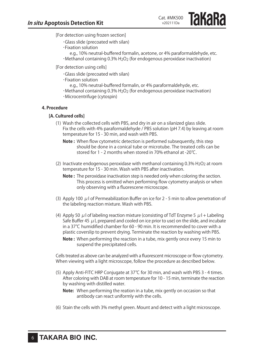[For detection using frozen section]

- ・Glass slide (precoated with silan)
- ・Fixation solution
- e.g., 10% neutral-buffered formalin, acetone, or 4% paraformaldehyde, etc. ・Methanol containing 0.3% H2O2 (for endogenous peroxidase inactivation)
- [For detection using cells]
	- ・Glass slide (precoated with silan)
	- ・Fixation solution
		- e.g., 10% neutral-buffered formalin, or 4% paraformaldehyde, etc.
	- $\cdot$ Methanol containing 0.3% H<sub>2</sub>O<sub>2</sub> (for endogenous peroxidase inactivation)
	- ・Microcentrifuge (cytospin)

#### **4. Procedure**

#### **[A. Cultured cells]**

- (1) Wash the collected cells with PBS, and dry in air on a silanized glass slide. Fix the cells with 4% paraformaldehyde / PBS solution (pH 7.4) by leaving at room temperature for 15 - 30 min, and wash with PBS.
	- **Note:** When flow cytometric detection is performed subsequently, this step should be done in a conical tube or microtube. The treated cells can be stored for 1 - 2 months when stored in 70% ethanol at -20℃.
- (2) Inactivate endogenous peroxidase with methanol containing  $0.3\%$  H<sub>2</sub>O<sub>2</sub> at room temperature for 15 - 30 min. Wash with PBS after inactivation.
	- **Note :** The peroxidase inactivation step is needed only when coloring the section. This process is omitted when performing flow cytometry analysis or when only observing with a fluorescene microscope.
- (3) Apply 100  $\mu$  l of Permeabilization Buffer on ice for 2 5 min to allow penetration of the labeling reaction mixture. Wash with PBS.
- (4) Apply 50  $\mu$  l of labeling reaction mixture (consisting of TdT Enzyme 5  $\mu$  l + Labeling Safe Buffer 45  $\mu$  l, prepared and cooled on ice prior to use) on the slide, and incubate in a 37℃ humidified chamber for 60 - 90 min. It is recommended to cover with a plastic coverslip to prevent drying. Terminate the reaction by washing with PBS.
	- **Note :** When performing the reaction in a tube, mix gently once every 15 min to suspend the precipitated cells.

Cells treated as above can be analyzed with a fluorescent microscope or flow cytometry. When viewing with a light microscope, follow the procedure as described below.

- (5) Apply Anti-FITC HRP Conjugate at  $37^{\circ}$ C for 30 min, and wash with PBS 3 4 times. After coloring with DAB at room temperature for 10 - 15 min, terminate the reaction by washing with distilled water.
	- **Note:** When performing the reation in a tube, mix gently on occasion so that antibody can react uniformly with the cells.
- (6) Stain the cells with 3% methyl green. Mount and detect with a light microscope.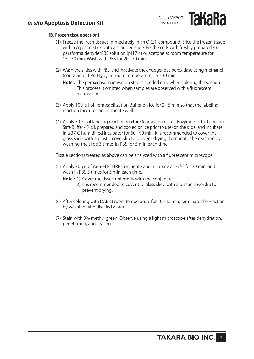**IAKAKA** 

#### **[B. Frozen tissue section]**

- (1) Freeze the fresh tissues immediately in an O.C.T. compound. Slice the frozen tissue with a cryostat stick onto a silanized slide. Fix the cells with freshly prepared 4% paraformaldehyde/PBS solution (pH 7.4) or acetone at room temperature for 15 - 30 min. Wash with PBS for 20 - 30 min.
- (2) Wash the slides with PBS, and inactivate the endogenous peroxidase using methanol (containing 0.3% H2O2) at room temperature, 15 - 30 min.
	- **Note :** The peroxidase inactivation step is needed only when coloring the section. This process is omitted when samples are observed with a fluorescent microscope.
- (3) Apply 100  $\mu$  l of Permeabilization Buffer on ice for 2 5 min so that the labeling reaction mixture can permeate well.
- (4) Apply 50  $\mu$  l of labeling reaction mixture (consisting of TdT Enzyme 5  $\mu$  l + Labeling Safe Buffer 45  $\mu$  l, prepared and cooled on ice prior to use) on the slide, and incubate in a 37℃ humidified incubator for 60 - 90 min. It is recommended to cover the glass slide with a plastic coverslip to prevent drying. Terminate the reaction by washing the slide 3 times in PBS for 5 min each time.

Tissue sections treated as above can be analyzed with a fluorescent microscope.

- (5) Apply 70  $\mu$  l of Anti-FITC HRP Conjugate and incubate at 37°C for 30 min, and wash in PBS 3 times for 5 min each time.
	- **Note:** 1) Cover the tissue uniformly with the conjugate.
		- 2) It is recommended to cover the glass slide with a plastic coverslip to prevent drying.
- (6) After coloring with DAB at room temperature for 10 15 min, terminate the reaction by washing with distilled water.
- (7) Stain with 3% methyl green. Observe using a light microscope after dehydration, penetration, and sealing.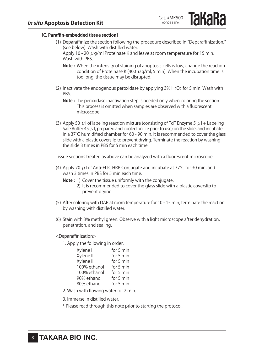**IAKARA** 

#### **[C. Paraffin-embedded tissue section]**

(1) Deparaffinize the section following the procedure described in "Deparaffinization," (see below). Wash with distilled water.

Apply 10 - 20  $\mu$  g/ml Proteinase K and leave at room temperature for 15 min. Wash with PBS.

- **Note :** When the intensity of staining of apoptosis cells is low, change the reaction condition of Proteinase K (400  $\mu$  g/ml, 5 min). When the incubation time is too long, the tissue may be disrupted.
- (2) Inactivate the endogenous peroxidase by applying  $3\%$  H<sub>2</sub>O<sub>2</sub> for 5 min. Wash with PBS.
	- **Note :** The peroxidase inactivation step is needed only when coloring the section. This process is omitted when samples are observed with a fluorescent microscope.
- (3) Apply 50  $\mu$  l of labeling reaction mixture (consisting of TdT Enzyme 5  $\mu$  l + Labeling Safe Buffer 45  $\mu$  l, prepared and cooled on ice prior to use) on the slide, and incubate in a 37℃ humidified chamber for 60 - 90 min. It is recommended to cover the glass slide with a plastic coverslip to prevent drying. Terminate the reaction by washing the slide 3 times in PBS for 5 min each time.

Tissue sections treated as above can be analyzed with a fluorescent microscope.

- (4) Apply 70  $\mu$  l of Anti-FITC HRP Conjugate and incubate at 37°C for 30 min, and wash 3 times in PBS for 5 min each time.
	- **Note:** 1) Cover the tissue uniformly with the conjugate.
		- 2) It is recommended to cover the glass slide with a plastic coverslip to prevent drying.
- (5) After coloring with DAB at room temperature for 10 15 min, terminate the reaction by washing with distilled water.
- (6) Stain with 3% methyl green. Observe with a light microscope after dehydration, penetration, and sealing.
- <Deparaffinization>
	- 1. Apply the following in order.

| Xylene I     | for 5 min |
|--------------|-----------|
| Xylene II    | for 5 min |
| Xylene III   | for 5 min |
| 100% ethanol | for 5 min |
| 100% ethanol | for 5 min |
| 90% ethanol  | for 5 min |
| 80% ethanol  | for 5 min |

- 2. Wash with flowing water for 2 min.
- 3. Immerse in distilled water.
- \* Please read through this note prior to starting the protocol.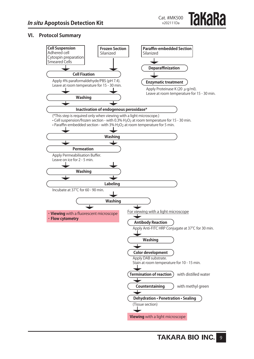#### **VI. Protocol Summary**

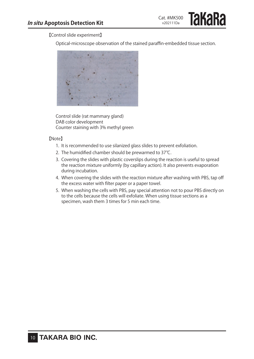【Control slide experiment】

Optical-microscope observation of the stained paraffin-embedded tissue section.



Control slide (rat mammary gland) DAB color development Counter staining with 3% methyl green

#### 【Note】

- 1. It is recommended to use silanized glass slides to prevent exfoliation.
- 2. The humidified chamber should be prewarmed to 37°C.
- 3. Covering the slides with plastic coverslips during the reaction is useful to spread the reaction mixture uniformly (by capillary action). It also prevents evaporation during incubation.
- 4. When covering the slides with the reaction mixture after washing with PBS, tap off the excess water with filter paper or a paper towel.
- 5. When washing the cells with PBS, pay special attention not to pour PBS directly on to the cells because the cells will exfoliate. When using tissue sections as a specimen, wash them 3 times for 5 min each time.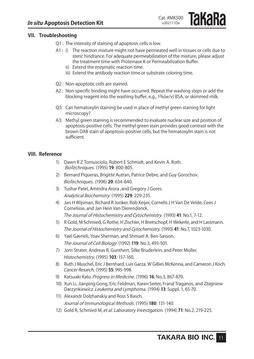**Takara** 

#### **VII. Troubleshooting**

Q1 : The intensity of staining of apoptosis cells is low.

- A1 : i) The reaction mixture might not have permeated well in tissues or cells due to steric hindrance. For adequate permeabilization of the mixture, please adjust the treatment time with Proteinase K or Permeabilization Buffer.
	- ii) Extend the enzymatic reaction time.
	- iii) Extend the antibody reaction time or substrate coloring time.
- Q2 : Non-apoptotic cells are stained.
- A2 : Non-specific binding might have occurred. Repeat the washing steps or add the blocking reagent into the washing buffer, e.g., 1%(w/v) BSA, or skimmed milk.
- Q3: Can hematoxylin staining be used in place of methyl green staining for light microscopy?
- A3: Methyl green staining is recommended to evaluate nuclear size and position of apoptosis-positive cells. The methyl green stain provides good contrast with the brown DAB stain of apoptosis-positive cells, but the hematoxylin stain is not sufficient.

#### **VIII. Reference**

- 1) Dawn R Z Tornusciolo, Robert E Schmidt, and Kevin A. Roth. BioTechniques. (1995) **19**: 800-805.
- 2) Bernard Piqueras, Brigitte Autran, Patrice Debre, and Guy Gorochov. BioTechniques. (1996) **20**: 634-640.
- 3) Tushar Patel, Amindra Arora , and Gregory J Gores. Analytical Biochemstry. (1995) **229**: 229-235.
- 4) Jan H Wijsman, Richard R Jonker, Rob Keijer, Cornelis J H Van De Velde, Cees J Cornelisse, and Jan Hein Van Dierendonck. The Journal of Histochemistry and Cytochemistry. (1993) **41**: No.1, 7-12.
- 5) R Gold, M Schmied, G Rothe, H Zischler, H Breitschopf, H Wekerle, and H Lassmann. The Journal of Histochemistry and Cytochemistry. (1993) **41**: No.7, 1023-1030.
- 6) Yael Gavrieli, Yoav Sherman, and Shmuel A. Ben-Sasson. The Journal of Cell Biology. (1992) **119**: No.3, 493-501.
- 7) Jorn Strater, Andreas R, Gunthert, Silke Bruderlein, and Peter Moller. Histochemistry. (1995) **103**: 157-160.
- 8) Ruth J Muschel, Eric J Bernhard, Luis Garza, W Gillies McKenna, and Cameron J Koch. Cancer Resarch. (1995) **55**: 995-998.
- 9) Katsuaki Kato.Progress in Medicine. (1996) **16**: No.3, 867-870.
- 10) Xun Li, Jianping Gong, Eric Feldman, Karen Seiter, Frand Traganos, and Zbigniew Darzynkiewicz. Leukema and Lymphoma. (1994) **13**: Suppl. 1, 65-70.
- 11) Alexandr Dolzhanskiy and Ross S Basch. Journal of Immunological Methods . (1995) **180**: 131-140.
- 12) Gold R, Schmied M, et al. Laboratory Investigation. (1994) **71**: No.2, 219-225.